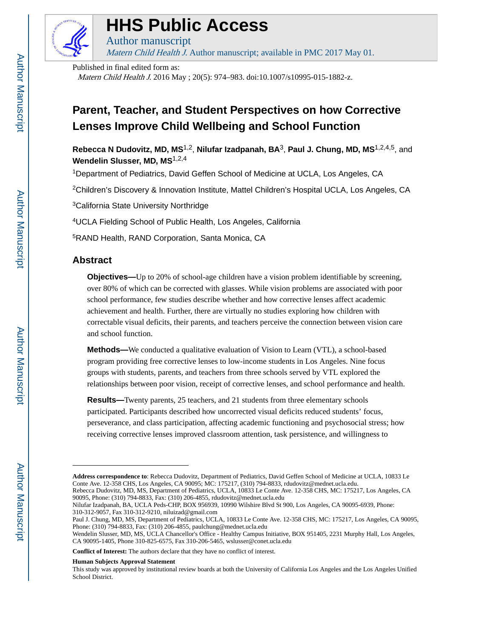

# **HHS Public Access**

Author manuscript Matern Child Health J. Author manuscript; available in PMC 2017 May 01.

Published in final edited form as:

Matern Child Health J. 2016 May ; 20(5): 974–983. doi:10.1007/s10995-015-1882-z.

# **Parent, Teacher, and Student Perspectives on how Corrective Lenses Improve Child Wellbeing and School Function**

**Rebecca N Dudovitz, MD, MS**1,2, **Nilufar Izadpanah, BA**3, **Paul J. Chung, MD, MS**1,2,4,5, and **Wendelin Slusser, MD, MS**1,2,4

<sup>1</sup>Department of Pediatrics, David Geffen School of Medicine at UCLA, Los Angeles, CA

<sup>2</sup>Children's Discovery & Innovation Institute, Mattel Children's Hospital UCLA, Los Angeles, CA

<sup>3</sup>California State University Northridge

<sup>4</sup>UCLA Fielding School of Public Health, Los Angeles, California

<sup>5</sup>RAND Health, RAND Corporation, Santa Monica, CA

# **Abstract**

**Objectives—**Up to 20% of school-age children have a vision problem identifiable by screening, over 80% of which can be corrected with glasses. While vision problems are associated with poor school performance, few studies describe whether and how corrective lenses affect academic achievement and health. Further, there are virtually no studies exploring how children with correctable visual deficits, their parents, and teachers perceive the connection between vision care and school function.

**Methods—**We conducted a qualitative evaluation of Vision to Learn (VTL), a school-based program providing free corrective lenses to low-income students in Los Angeles. Nine focus groups with students, parents, and teachers from three schools served by VTL explored the relationships between poor vision, receipt of corrective lenses, and school performance and health.

**Results—**Twenty parents, 25 teachers, and 21 students from three elementary schools participated. Participants described how uncorrected visual deficits reduced students' focus, perseverance, and class participation, affecting academic functioning and psychosocial stress; how receiving corrective lenses improved classroom attention, task persistence, and willingness to

#### **Human Subjects Approval Statement**

**Address correspondence to**: Rebecca Dudovitz, Department of Pediatrics, David Geffen School of Medicine at UCLA, 10833 Le Conte Ave. 12-358 CHS, Los Angeles, CA 90095; MC: 175217, (310) 794-8833, rdudovitz@mednet.ucla.edu.

Rebecca Dudovitz, MD, MS, Department of Pediatrics, UCLA, 10833 Le Conte Ave. 12-358 CHS, MC: 175217, Los Angeles, CA 90095, Phone: (310) 794-8833, Fax: (310) 206-4855, rdudovitz@mednet.ucla.edu

Nilufar Izadpanah, BA, UCLA Peds-CHP, BOX 956939, 10990 Wilshire Blvd St 900, Los Angeles, CA 90095-6939, Phone: 310-312-9057, Fax 310-312-9210, niluizad@gmail.com

Paul J. Chung, MD, MS, Department of Pediatrics, UCLA, 10833 Le Conte Ave. 12-358 CHS, MC: 175217, Los Angeles, CA 90095, Phone: (310) 794-8833, Fax: (310) 206-4855, paulchung@mednet.ucla.edu

Wendelin Slusser, MD, MS, UCLA Chancellor's Office - Healthy Campus Initiative, BOX 951405, 2231 Murphy Hall, Los Angeles, CA 90095-1405, Phone 310-825-6575, Fax 310-206-5465, wslusser@conet.ucla.edu

**Conflict of Interest:** The authors declare that they have no conflict of interest.

This study was approved by institutional review boards at both the University of California Los Angeles and the Los Angeles Unified School District.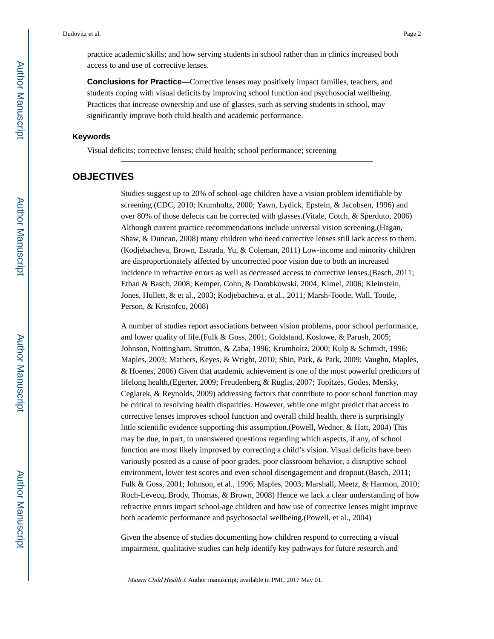practice academic skills; and how serving students in school rather than in clinics increased both access to and use of corrective lenses.

**Conclusions for Practice—**Corrective lenses may positively impact families, teachers, and students coping with visual deficits by improving school function and psychosocial wellbeing. Practices that increase ownership and use of glasses, such as serving students in school, may significantly improve both child health and academic performance.

### **Keywords**

Visual deficits; corrective lenses; child health; school performance; screening

# **OBJECTIVES**

Studies suggest up to 20% of school-age children have a vision problem identifiable by screening (CDC, 2010; Krumholtz, 2000; Yawn, Lydick, Epstein, & Jacobsen, 1996) and over 80% of those defects can be corrected with glasses.(Vitale, Cotch, & Sperduto, 2006) Although current practice recommendations include universal vision screening,(Hagan, Shaw, & Duncan, 2008) many children who need corrective lenses still lack access to them. (Kodjebacheva, Brown, Estrada, Yu, & Coleman, 2011) Low-income and minority children are disproportionately affected by uncorrected poor vision due to both an increased incidence in refractive errors as well as decreased access to corrective lenses.(Basch, 2011; Ethan & Basch, 2008; Kemper, Cohn, & Dombkowski, 2004; Kimel, 2006; Kleinstein, Jones, Hullett, & et al., 2003; Kodjebacheva, et al., 2011; Marsh-Tootle, Wall, Tootle, Person, & Kristofco, 2008)

A number of studies report associations between vision problems, poor school performance, and lower quality of life.(Fulk & Goss, 2001; Goldstand, Koslowe, & Parush, 2005; Johnson, Nottingham, Strutton, & Zaba, 1996; Krumholtz, 2000; Kulp & Schmidt, 1996; Maples, 2003; Mathers, Keyes, & Wright, 2010; Shin, Park, & Park, 2009; Vaughn, Maples, & Hoenes, 2006) Given that academic achievement is one of the most powerful predictors of lifelong health,(Egerter, 2009; Freudenberg & Ruglis, 2007; Topitzes, Godes, Mersky, Ceglarek, & Reynolds, 2009) addressing factors that contribute to poor school function may be critical to resolving health disparities. However, while one might predict that access to corrective lenses improves school function and overall child health, there is surprisingly little scientific evidence supporting this assumption.(Powell, Wedner, & Hatt, 2004) This may be due, in part, to unanswered questions regarding which aspects, if any, of school function are most likely improved by correcting a child's vision. Visual deficits have been variously posited as a cause of poor grades, poor classroom behavior, a disruptive school environment, lower test scores and even school disengagement and dropout.(Basch, 2011; Fulk & Goss, 2001; Johnson, et al., 1996; Maples, 2003; Marshall, Meetz, & Harmon, 2010; Roch-Levecq, Brody, Thomas, & Brown, 2008) Hence we lack a clear understanding of how refractive errors impact school-age children and how use of corrective lenses might improve both academic performance and psychosocial wellbeing.(Powell, et al., 2004)

Given the absence of studies documenting how children respond to correcting a visual impairment, qualitative studies can help identify key pathways for future research and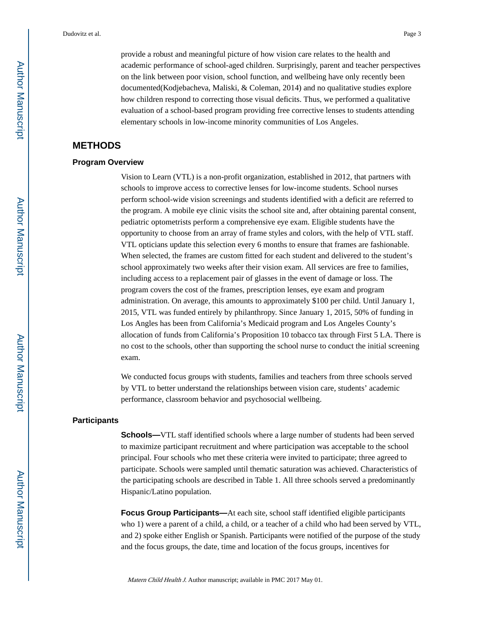provide a robust and meaningful picture of how vision care relates to the health and academic performance of school-aged children. Surprisingly, parent and teacher perspectives on the link between poor vision, school function, and wellbeing have only recently been documented(Kodjebacheva, Maliski, & Coleman, 2014) and no qualitative studies explore how children respond to correcting those visual deficits. Thus, we performed a qualitative evaluation of a school-based program providing free corrective lenses to students attending elementary schools in low-income minority communities of Los Angeles.

## **METHODS**

#### **Program Overview**

Vision to Learn (VTL) is a non-profit organization, established in 2012, that partners with schools to improve access to corrective lenses for low-income students. School nurses perform school-wide vision screenings and students identified with a deficit are referred to the program. A mobile eye clinic visits the school site and, after obtaining parental consent, pediatric optometrists perform a comprehensive eye exam. Eligible students have the opportunity to choose from an array of frame styles and colors, with the help of VTL staff. VTL opticians update this selection every 6 months to ensure that frames are fashionable. When selected, the frames are custom fitted for each student and delivered to the student's school approximately two weeks after their vision exam. All services are free to families, including access to a replacement pair of glasses in the event of damage or loss. The program covers the cost of the frames, prescription lenses, eye exam and program administration. On average, this amounts to approximately \$100 per child. Until January 1, 2015, VTL was funded entirely by philanthropy. Since January 1, 2015, 50% of funding in Los Angles has been from California's Medicaid program and Los Angeles County's allocation of funds from California's Proposition 10 tobacco tax through First 5 LA. There is no cost to the schools, other than supporting the school nurse to conduct the initial screening exam.

We conducted focus groups with students, families and teachers from three schools served by VTL to better understand the relationships between vision care, students' academic performance, classroom behavior and psychosocial wellbeing.

### **Participants**

**Schools—**VTL staff identified schools where a large number of students had been served to maximize participant recruitment and where participation was acceptable to the school principal. Four schools who met these criteria were invited to participate; three agreed to participate. Schools were sampled until thematic saturation was achieved. Characteristics of the participating schools are described in Table 1. All three schools served a predominantly Hispanic/Latino population.

**Focus Group Participants—**At each site, school staff identified eligible participants who 1) were a parent of a child, a child, or a teacher of a child who had been served by VTL, and 2) spoke either English or Spanish. Participants were notified of the purpose of the study and the focus groups, the date, time and location of the focus groups, incentives for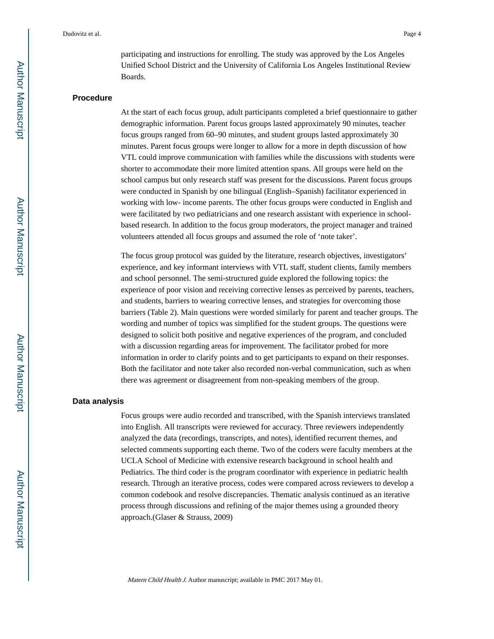Dudovitz et al. Page 4

participating and instructions for enrolling. The study was approved by the Los Angeles Unified School District and the University of California Los Angeles Institutional Review Boards.

### **Procedure**

At the start of each focus group, adult participants completed a brief questionnaire to gather demographic information. Parent focus groups lasted approximately 90 minutes, teacher focus groups ranged from 60–90 minutes, and student groups lasted approximately 30 minutes. Parent focus groups were longer to allow for a more in depth discussion of how VTL could improve communication with families while the discussions with students were shorter to accommodate their more limited attention spans. All groups were held on the school campus but only research staff was present for the discussions. Parent focus groups were conducted in Spanish by one bilingual (English–Spanish) facilitator experienced in working with low- income parents. The other focus groups were conducted in English and were facilitated by two pediatricians and one research assistant with experience in schoolbased research. In addition to the focus group moderators, the project manager and trained volunteers attended all focus groups and assumed the role of 'note taker'.

The focus group protocol was guided by the literature, research objectives, investigators' experience, and key informant interviews with VTL staff, student clients, family members and school personnel. The semi-structured guide explored the following topics: the experience of poor vision and receiving corrective lenses as perceived by parents, teachers, and students, barriers to wearing corrective lenses, and strategies for overcoming those barriers (Table 2). Main questions were worded similarly for parent and teacher groups. The wording and number of topics was simplified for the student groups. The questions were designed to solicit both positive and negative experiences of the program, and concluded with a discussion regarding areas for improvement. The facilitator probed for more information in order to clarify points and to get participants to expand on their responses. Both the facilitator and note taker also recorded non-verbal communication, such as when there was agreement or disagreement from non-speaking members of the group.

#### **Data analysis**

Focus groups were audio recorded and transcribed, with the Spanish interviews translated into English. All transcripts were reviewed for accuracy. Three reviewers independently analyzed the data (recordings, transcripts, and notes), identified recurrent themes, and selected comments supporting each theme. Two of the coders were faculty members at the UCLA School of Medicine with extensive research background in school health and Pediatrics. The third coder is the program coordinator with experience in pediatric health research. Through an iterative process, codes were compared across reviewers to develop a common codebook and resolve discrepancies. Thematic analysis continued as an iterative process through discussions and refining of the major themes using a grounded theory approach.(Glaser & Strauss, 2009)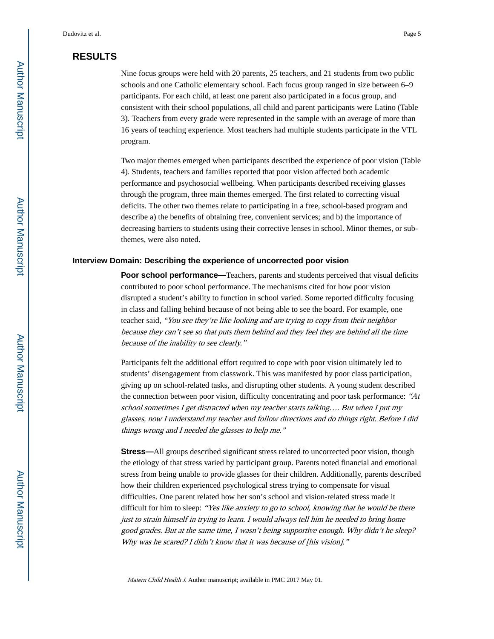# **RESULTS**

Nine focus groups were held with 20 parents, 25 teachers, and 21 students from two public schools and one Catholic elementary school. Each focus group ranged in size between 6–9 participants. For each child, at least one parent also participated in a focus group, and consistent with their school populations, all child and parent participants were Latino (Table 3). Teachers from every grade were represented in the sample with an average of more than 16 years of teaching experience. Most teachers had multiple students participate in the VTL program.

Two major themes emerged when participants described the experience of poor vision (Table 4). Students, teachers and families reported that poor vision affected both academic performance and psychosocial wellbeing. When participants described receiving glasses through the program, three main themes emerged. The first related to correcting visual deficits. The other two themes relate to participating in a free, school-based program and describe a) the benefits of obtaining free, convenient services; and b) the importance of decreasing barriers to students using their corrective lenses in school. Minor themes, or subthemes, were also noted.

### **Interview Domain: Describing the experience of uncorrected poor vision**

**Poor school performance—**Teachers, parents and students perceived that visual deficits contributed to poor school performance. The mechanisms cited for how poor vision disrupted a student's ability to function in school varied. Some reported difficulty focusing in class and falling behind because of not being able to see the board. For example, one teacher said, "You see they're like looking and are trying to copy from their neighbor because they can't see so that puts them behind and they feel they are behind all the time because of the inability to see clearly."

Participants felt the additional effort required to cope with poor vision ultimately led to students' disengagement from classwork. This was manifested by poor class participation, giving up on school-related tasks, and disrupting other students. A young student described the connection between poor vision, difficulty concentrating and poor task performance: " $At$ school sometimes I get distracted when my teacher starts talking…. But when I put my glasses, now I understand my teacher and follow directions and do things right. Before I did things wrong and I needed the glasses to help me."

**Stress—**All groups described significant stress related to uncorrected poor vision, though the etiology of that stress varied by participant group. Parents noted financial and emotional stress from being unable to provide glasses for their children. Additionally, parents described how their children experienced psychological stress trying to compensate for visual difficulties. One parent related how her son's school and vision-related stress made it difficult for him to sleep: "Yes like anxiety to go to school, knowing that he would be there just to strain himself in trying to learn. I would always tell him he needed to bring home good grades. But at the same time, I wasn't being supportive enough. Why didn't he sleep? Why was he scared? I didn't know that it was because of [his vision]."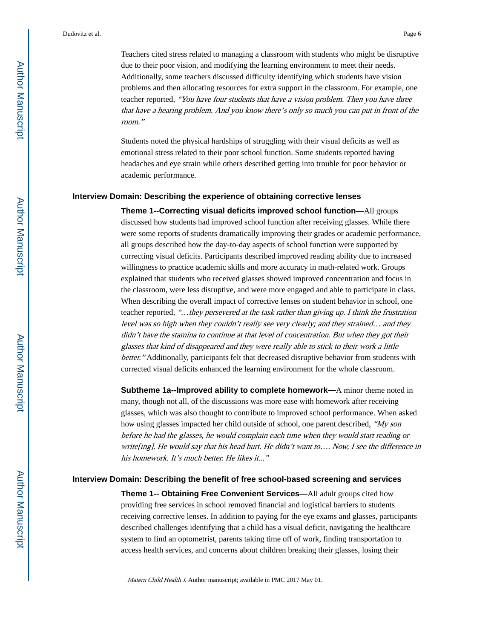Teachers cited stress related to managing a classroom with students who might be disruptive due to their poor vision, and modifying the learning environment to meet their needs. Additionally, some teachers discussed difficulty identifying which students have vision problems and then allocating resources for extra support in the classroom. For example, one teacher reported, "You have four students that have a vision problem. Then you have three that have a hearing problem. And you know there's only so much you can put in front of the room."

Students noted the physical hardships of struggling with their visual deficits as well as emotional stress related to their poor school function. Some students reported having headaches and eye strain while others described getting into trouble for poor behavior or academic performance.

### **Interview Domain: Describing the experience of obtaining corrective lenses**

**Theme 1--Correcting visual deficits improved school function—**All groups discussed how students had improved school function after receiving glasses. While there were some reports of students dramatically improving their grades or academic performance, all groups described how the day-to-day aspects of school function were supported by correcting visual deficits. Participants described improved reading ability due to increased willingness to practice academic skills and more accuracy in math-related work. Groups explained that students who received glasses showed improved concentration and focus in the classroom, were less disruptive, and were more engaged and able to participate in class. When describing the overall impact of corrective lenses on student behavior in school, one teacher reported, "…they persevered at the task rather than giving up. I think the frustration level was so high when they couldn't really see very clearly; and they strained… and they didn't have the stamina to continue at that level of concentration. But when they got their glasses that kind of disappeared and they were really able to stick to their work a little better." Additionally, participants felt that decreased disruptive behavior from students with corrected visual deficits enhanced the learning environment for the whole classroom.

**Subtheme 1a--Improved ability to complete homework—**A minor theme noted in many, though not all, of the discussions was more ease with homework after receiving glasses, which was also thought to contribute to improved school performance. When asked how using glasses impacted her child outside of school, one parent described, "My son before he had the glasses, he would complain each time when they would start reading or write[ing]. He would say that his head hurt. He didn't want to.... Now, I see the difference in his homework. It's much better. He likes it..."

### **Interview Domain: Describing the benefit of free school-based screening and services**

**Theme 1-- Obtaining Free Convenient Services—**All adult groups cited how providing free services in school removed financial and logistical barriers to students receiving corrective lenses. In addition to paying for the eye exams and glasses, participants described challenges identifying that a child has a visual deficit, navigating the healthcare system to find an optometrist, parents taking time off of work, finding transportation to access health services, and concerns about children breaking their glasses, losing their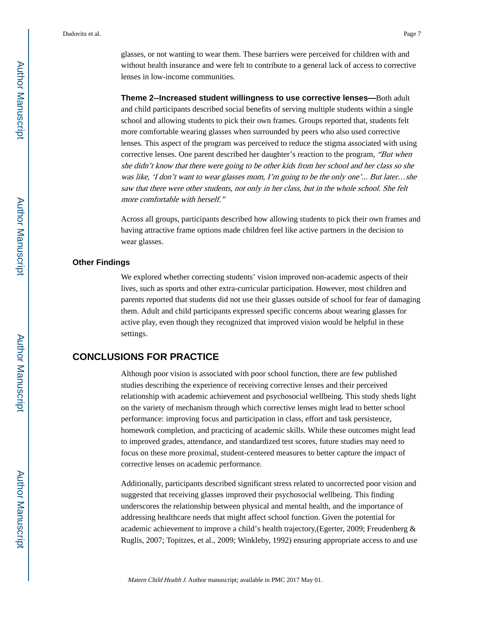Dudovitz et al. Page 7

glasses, or not wanting to wear them. These barriers were perceived for children with and without health insurance and were felt to contribute to a general lack of access to corrective lenses in low-income communities.

**Theme 2--Increased student willingness to use corrective lenses—**Both adult and child participants described social benefits of serving multiple students within a single school and allowing students to pick their own frames. Groups reported that, students felt more comfortable wearing glasses when surrounded by peers who also used corrective lenses. This aspect of the program was perceived to reduce the stigma associated with using corrective lenses. One parent described her daughter's reaction to the program, "But when she didn't know that there were going to be other kids from her school and her class so she was like, 'I don't want to wear glasses mom, I'm going to be the only one'... But later…she saw that there were other students, not only in her class, but in the whole school. She felt more comfortable with herself."

Across all groups, participants described how allowing students to pick their own frames and having attractive frame options made children feel like active partners in the decision to wear glasses.

### **Other Findings**

We explored whether correcting students' vision improved non-academic aspects of their lives, such as sports and other extra-curricular participation. However, most children and parents reported that students did not use their glasses outside of school for fear of damaging them. Adult and child participants expressed specific concerns about wearing glasses for active play, even though they recognized that improved vision would be helpful in these settings.

## **CONCLUSIONS FOR PRACTICE**

Although poor vision is associated with poor school function, there are few published studies describing the experience of receiving corrective lenses and their perceived relationship with academic achievement and psychosocial wellbeing. This study sheds light on the variety of mechanism through which corrective lenses might lead to better school performance: improving focus and participation in class, effort and task persistence, homework completion, and practicing of academic skills. While these outcomes might lead to improved grades, attendance, and standardized test scores, future studies may need to focus on these more proximal, student-centered measures to better capture the impact of corrective lenses on academic performance.

Additionally, participants described significant stress related to uncorrected poor vision and suggested that receiving glasses improved their psychosocial wellbeing. This finding underscores the relationship between physical and mental health, and the importance of addressing healthcare needs that might affect school function. Given the potential for academic achievement to improve a child's health trajectory,(Egerter, 2009; Freudenberg & Ruglis, 2007; Topitzes, et al., 2009; Winkleby, 1992) ensuring appropriate access to and use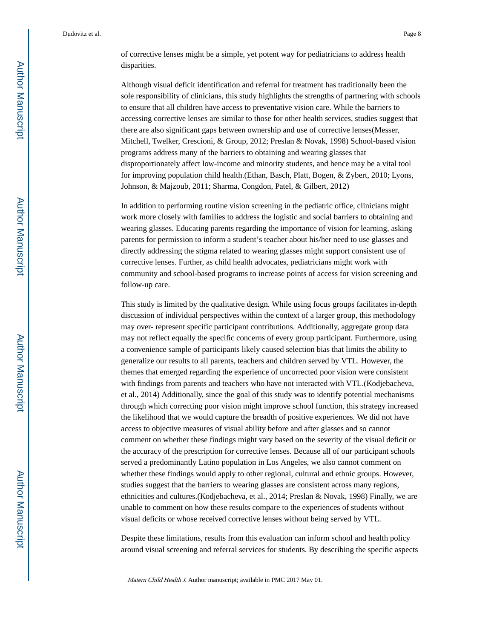Dudovitz et al. Page 8

of corrective lenses might be a simple, yet potent way for pediatricians to address health disparities.

Although visual deficit identification and referral for treatment has traditionally been the sole responsibility of clinicians, this study highlights the strengths of partnering with schools to ensure that all children have access to preventative vision care. While the barriers to accessing corrective lenses are similar to those for other health services, studies suggest that there are also significant gaps between ownership and use of corrective lenses(Messer, Mitchell, Twelker, Crescioni, & Group, 2012; Preslan & Novak, 1998) School-based vision programs address many of the barriers to obtaining and wearing glasses that disproportionately affect low-income and minority students, and hence may be a vital tool for improving population child health.(Ethan, Basch, Platt, Bogen, & Zybert, 2010; Lyons, Johnson, & Majzoub, 2011; Sharma, Congdon, Patel, & Gilbert, 2012)

In addition to performing routine vision screening in the pediatric office, clinicians might work more closely with families to address the logistic and social barriers to obtaining and wearing glasses. Educating parents regarding the importance of vision for learning, asking parents for permission to inform a student's teacher about his/her need to use glasses and directly addressing the stigma related to wearing glasses might support consistent use of corrective lenses. Further, as child health advocates, pediatricians might work with community and school-based programs to increase points of access for vision screening and follow-up care.

This study is limited by the qualitative design. While using focus groups facilitates in-depth discussion of individual perspectives within the context of a larger group, this methodology may over- represent specific participant contributions. Additionally, aggregate group data may not reflect equally the specific concerns of every group participant. Furthermore, using a convenience sample of participants likely caused selection bias that limits the ability to generalize our results to all parents, teachers and children served by VTL. However, the themes that emerged regarding the experience of uncorrected poor vision were consistent with findings from parents and teachers who have not interacted with VTL.(Kodjebacheva, et al., 2014) Additionally, since the goal of this study was to identify potential mechanisms through which correcting poor vision might improve school function, this strategy increased the likelihood that we would capture the breadth of positive experiences. We did not have access to objective measures of visual ability before and after glasses and so cannot comment on whether these findings might vary based on the severity of the visual deficit or the accuracy of the prescription for corrective lenses. Because all of our participant schools served a predominantly Latino population in Los Angeles, we also cannot comment on whether these findings would apply to other regional, cultural and ethnic groups. However, studies suggest that the barriers to wearing glasses are consistent across many regions, ethnicities and cultures.(Kodjebacheva, et al., 2014; Preslan & Novak, 1998) Finally, we are unable to comment on how these results compare to the experiences of students without visual deficits or whose received corrective lenses without being served by VTL.

Despite these limitations, results from this evaluation can inform school and health policy around visual screening and referral services for students. By describing the specific aspects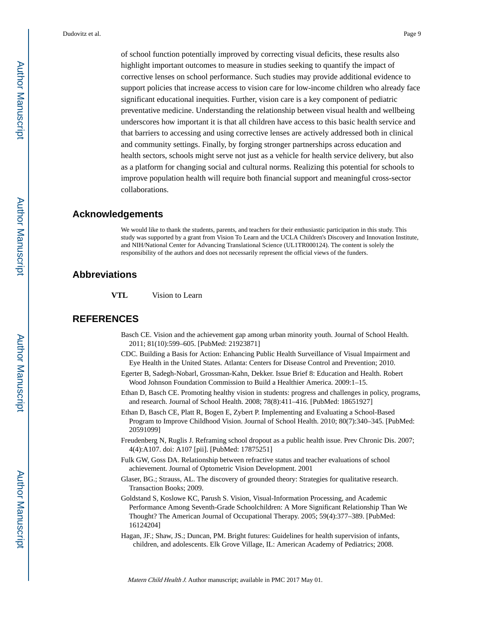of school function potentially improved by correcting visual deficits, these results also highlight important outcomes to measure in studies seeking to quantify the impact of corrective lenses on school performance. Such studies may provide additional evidence to support policies that increase access to vision care for low-income children who already face significant educational inequities. Further, vision care is a key component of pediatric preventative medicine. Understanding the relationship between visual health and wellbeing underscores how important it is that all children have access to this basic health service and that barriers to accessing and using corrective lenses are actively addressed both in clinical and community settings. Finally, by forging stronger partnerships across education and health sectors, schools might serve not just as a vehicle for health service delivery, but also as a platform for changing social and cultural norms. Realizing this potential for schools to improve population health will require both financial support and meaningful cross-sector collaborations.

### **Acknowledgements**

We would like to thank the students, parents, and teachers for their enthusiastic participation in this study. This study was supported by a grant from Vision To Learn and the UCLA Children's Discovery and Innovation Institute, and NIH/National Center for Advancing Translational Science (UL1TR000124). The content is solely the responsibility of the authors and does not necessarily represent the official views of the funders.

## **Abbreviations**

**VTL** Vision to Learn

### **REFERENCES**

- Basch CE. Vision and the achievement gap among urban minority youth. Journal of School Health. 2011; 81(10):599–605. [PubMed: 21923871]
- CDC. Building a Basis for Action: Enhancing Public Health Surveillance of Visual Impairment and Eye Health in the United States. Atlanta: Centers for Disease Control and Prevention; 2010.
- Egerter B, Sadegh-Nobarl, Grossman-Kahn, Dekker. Issue Brief 8: Education and Health. Robert Wood Johnson Foundation Commission to Build a Healthier America. 2009:1–15.
- Ethan D, Basch CE. Promoting healthy vision in students: progress and challenges in policy, programs, and research. Journal of School Health. 2008; 78(8):411–416. [PubMed: 18651927]
- Ethan D, Basch CE, Platt R, Bogen E, Zybert P. Implementing and Evaluating a School-Based Program to Improve Childhood Vision. Journal of School Health. 2010; 80(7):340–345. [PubMed: 20591099]
- Freudenberg N, Ruglis J. Reframing school dropout as a public health issue. Prev Chronic Dis. 2007; 4(4):A107. doi: A107 [pii]. [PubMed: 17875251]
- Fulk GW, Goss DA. Relationship between refractive status and teacher evaluations of school achievement. Journal of Optometric Vision Development. 2001
- Glaser, BG.; Strauss, AL. The discovery of grounded theory: Strategies for qualitative research. Transaction Books; 2009.
- Goldstand S, Koslowe KC, Parush S. Vision, Visual-Information Processing, and Academic Performance Among Seventh-Grade Schoolchildren: A More Significant Relationship Than We Thought? The American Journal of Occupational Therapy. 2005; 59(4):377–389. [PubMed: 16124204]
- Hagan, JF.; Shaw, JS.; Duncan, PM. Bright futures: Guidelines for health supervision of infants, children, and adolescents. Elk Grove Village, IL: American Academy of Pediatrics; 2008.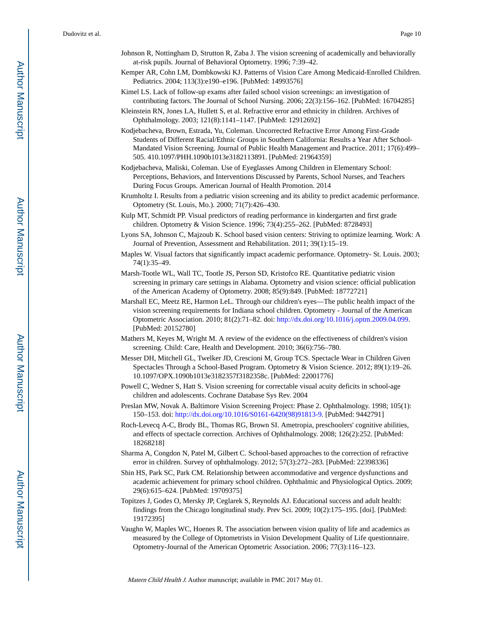- Johnson R, Nottingham D, Strutton R, Zaba J. The vision screening of academically and behaviorally at-risk pupils. Journal of Behavioral Optometry. 1996; 7:39–42.
- Kemper AR, Cohn LM, Dombkowski KJ. Patterns of Vision Care Among Medicaid-Enrolled Children. Pediatrics. 2004; 113(3):e190–e196. [PubMed: 14993576]
- Kimel LS. Lack of follow-up exams after failed school vision screenings: an investigation of contributing factors. The Journal of School Nursing. 2006; 22(3):156–162. [PubMed: 16704285]
- Kleinstein RN, Jones LA, Hullett S, et al. Refractive error and ethnicity in children. Archives of Ophthalmology. 2003; 121(8):1141–1147. [PubMed: 12912692]
- Kodjebacheva, Brown, Estrada, Yu, Coleman. Uncorrected Refractive Error Among First-Grade Students of Different Racial/Ethnic Groups in Southern California: Results a Year After School-Mandated Vision Screening. Journal of Public Health Management and Practice. 2011; 17(6):499– 505. 410.1097/PHH.1090b1013e3182113891. [PubMed: 21964359]
- Kodjebacheva, Maliski, Coleman. Use of Eyeglasses Among Children in Elementary School: Perceptions, Behaviors, and Interventions Discussed by Parents, School Nurses, and Teachers During Focus Groups. American Journal of Health Promotion. 2014
- Krumholtz I. Results from a pediatric vision screening and its ability to predict academic performance. Optometry (St. Louis, Mo.). 2000; 71(7):426–430.
- Kulp MT, Schmidt PP. Visual predictors of reading performance in kindergarten and first grade children. Optometry & Vision Science. 1996; 73(4):255–262. [PubMed: 8728493]
- Lyons SA, Johnson C, Majzoub K. School based vision centers: Striving to optimize learning. Work: A Journal of Prevention, Assessment and Rehabilitation. 2011; 39(1):15–19.
- Maples W. Visual factors that significantly impact academic performance. Optometry- St. Louis. 2003; 74(1):35–49.
- Marsh-Tootle WL, Wall TC, Tootle JS, Person SD, Kristofco RE. Quantitative pediatric vision screening in primary care settings in Alabama. Optometry and vision science: official publication of the American Academy of Optometry. 2008; 85(9):849. [PubMed: 18772721]
- Marshall EC, Meetz RE, Harmon LeL. Through our children's eyes—The public health impact of the vision screening requirements for Indiana school children. Optometry - Journal of the American Optometric Association. 2010; 81(2):71–82. doi:<http://dx.doi.org/10.1016/j.optm.2009.04.099>. [PubMed: 20152780]
- Mathers M, Keyes M, Wright M. A review of the evidence on the effectiveness of children's vision screening. Child: Care, Health and Development. 2010; 36(6):756–780.
- Messer DH, Mitchell GL, Twelker JD, Crescioni M, Group TCS. Spectacle Wear in Children Given Spectacles Through a School-Based Program. Optometry & Vision Science. 2012; 89(1):19–26. 10.1097/OPX.1090b1013e3182357f3182358c. [PubMed: 22001776]
- Powell C, Wedner S, Hatt S. Vision screening for correctable visual acuity deficits in school-age children and adolescents. Cochrane Database Sys Rev. 2004
- Preslan MW, Novak A. Baltimore Vision Screening Project: Phase 2. Ophthalmology. 1998; 105(1): 150–153. doi: [http://dx.doi.org/10.1016/S0161-6420\(98\)91813-9.](http://dx.doi.org/10.1016/S0161-6420(98)91813-9) [PubMed: 9442791]
- Roch-Levecq A-C, Brody BL, Thomas RG, Brown SI. Ametropia, preschoolers' cognitive abilities, and effects of spectacle correction. Archives of Ophthalmology. 2008; 126(2):252. [PubMed: 18268218]
- Sharma A, Congdon N, Patel M, Gilbert C. School-based approaches to the correction of refractive error in children. Survey of ophthalmology. 2012; 57(3):272–283. [PubMed: 22398336]
- Shin HS, Park SC, Park CM. Relationship between accommodative and vergence dysfunctions and academic achievement for primary school children. Ophthalmic and Physiological Optics. 2009; 29(6):615–624. [PubMed: 19709375]
- Topitzes J, Godes O, Mersky JP, Ceglarek S, Reynolds AJ. Educational success and adult health: findings from the Chicago longitudinal study. Prev Sci. 2009; 10(2):175–195. [doi]. [PubMed: 19172395]
- Vaughn W, Maples WC, Hoenes R. The association between vision quality of life and academics as measured by the College of Optometrists in Vision Development Quality of Life questionnaire. Optometry-Journal of the American Optometric Association. 2006; 77(3):116–123.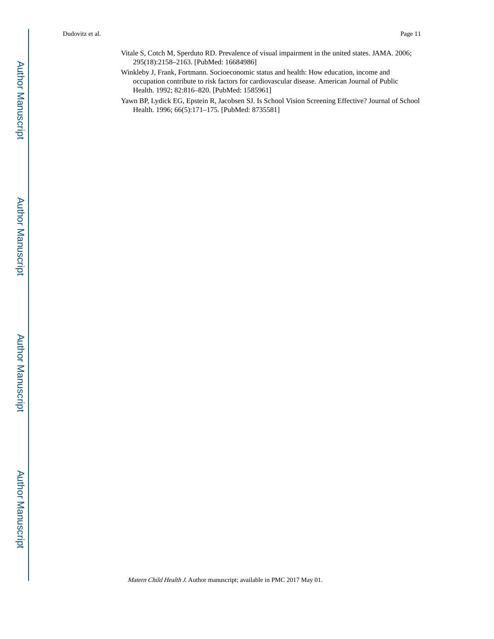- Vitale S, Cotch M, Sperduto RD. Prevalence of visual impairment in the united states. JAMA. 2006; 295(18):2158–2163. [PubMed: 16684986]
- Winkleby J, Frank, Fortmann. Socioeconomic status and health: How education, income and occupation contribute to risk factors for cardiovascular disease. American Journal of Public Health. 1992; 82:816–820. [PubMed: 1585961]
- Yawn BP, Lydick EG, Epstein R, Jacobsen SJ. Is School Vision Screening Effective? Journal of School Health. 1996; 66(5):171–175. [PubMed: 8735581]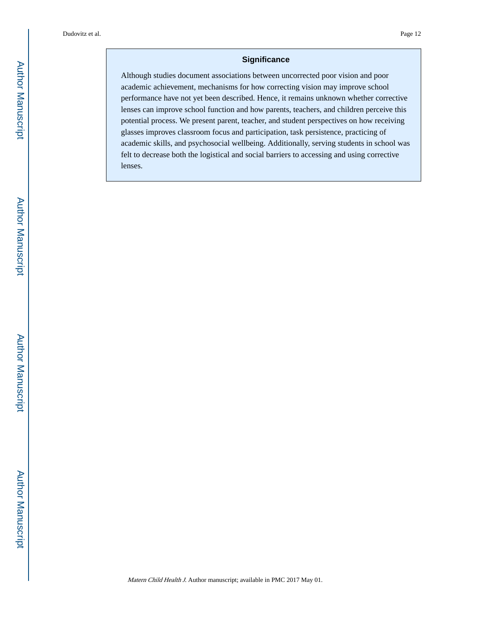### **Significance**

Although studies document associations between uncorrected poor vision and poor academic achievement, mechanisms for how correcting vision may improve school performance have not yet been described. Hence, it remains unknown whether corrective lenses can improve school function and how parents, teachers, and children perceive this potential process. We present parent, teacher, and student perspectives on how receiving glasses improves classroom focus and participation, task persistence, practicing of academic skills, and psychosocial wellbeing. Additionally, serving students in school was felt to decrease both the logistical and social barriers to accessing and using corrective lenses.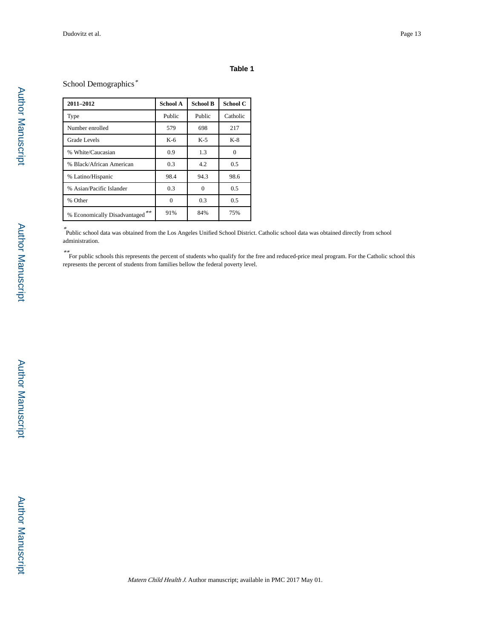### **Table 1**

School Demographics\*

| 2011-2012                               | <b>School A</b> | <b>School B</b> | <b>School C</b> |
|-----------------------------------------|-----------------|-----------------|-----------------|
| Type                                    | Public          | Public          | Catholic        |
| Number enrolled                         | 579             | 698             | 217             |
| Grade Levels                            | $K-6$           | $K-5$           | $K-8$           |
| % White/Caucasian                       | 0.9             | 1.3             | $\Omega$        |
| % Black/African American                | 0.3             | 4.2             | 0.5             |
| % Latino/Hispanic                       | 98.4            | 94.3            | 98.6            |
| % Asian/Pacific Islander                | 0.3             | 0               | 0.5             |
| % Other                                 | $\Omega$        | 0.3             | 0.5             |
| $\%$ Economically Disadvantaged $^{**}$ | 91%             | 84%             | 75%             |

\* Public school data was obtained from the Los Angeles Unified School District. Catholic school data was obtained directly from school administration.

\*\* For public schools this represents the percent of students who qualify for the free and reduced-price meal program. For the Catholic school this represents the percent of students from families bellow the federal poverty level.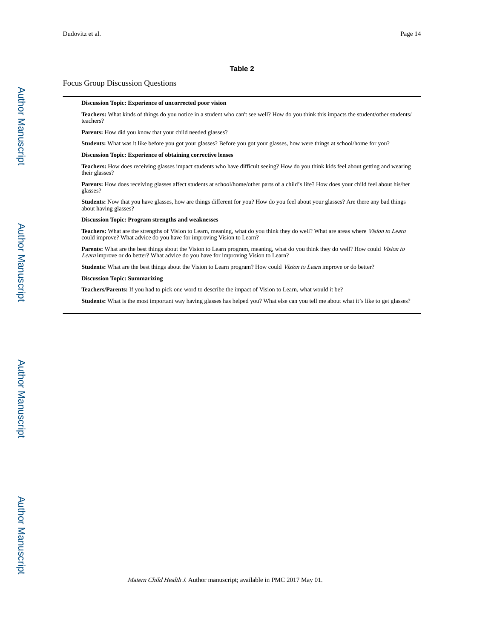#### **Table 2**

#### Focus Group Discussion Questions

#### **Discussion Topic: Experience of uncorrected poor vision**

**Teachers:** What kinds of things do you notice in a student who can't see well? How do you think this impacts the student/other students/ teachers?

**Parents:** How did you know that your child needed glasses?

Students: What was it like before you got your glasses? Before you got your glasses, how were things at school/home for you?

#### **Discussion Topic: Experience of obtaining corrective lenses**

**Teachers:** How does receiving glasses impact students who have difficult seeing? How do you think kids feel about getting and wearing their glasses?

**Parents:** How does receiving glasses affect students at school/home/other parts of a child's life? How does your child feel about his/her glasses?

**Students:** Now that you have glasses, how are things different for you? How do you feel about your glasses? Are there any bad things about having glasses?

#### **Discussion Topic: Program strengths and weaknesses**

**Teachers:** What are the strengths of Vision to Learn, meaning, what do you think they do well? What are areas where Vision to Learn could improve? What advice do you have for improving Vision to Learn?

Parents: What are the best things about the Vision to Learn program, meaning, what do you think they do well? How could Vision to Learn improve or do better? What advice do you have for improving Vision to Learn?

**Students:** What are the best things about the Vision to Learn program? How could Vision to Learn improve or do better?

#### **Discussion Topic: Summarizing**

**Teachers/Parents:** If you had to pick one word to describe the impact of Vision to Learn, what would it be?

**Students:** What is the most important way having glasses has helped you? What else can you tell me about what it's like to get glasses?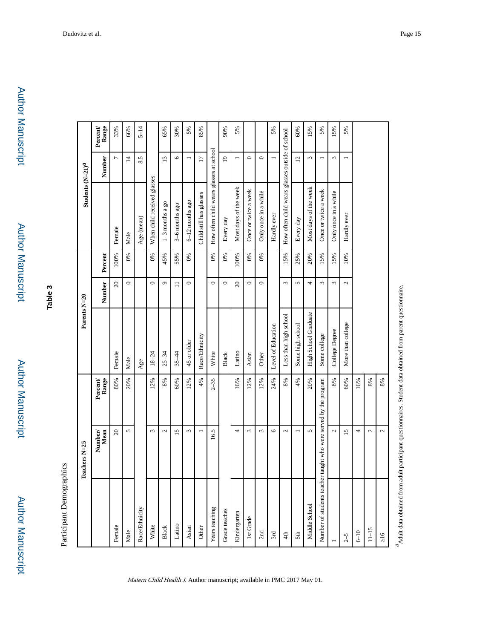Author Manuscript

**Author Manuscript** 

| ï<br>ì           |  |
|------------------|--|
| Î,<br>ì<br>Î<br> |  |

|                                                                  | Teachers N=25            |                   | Parents N=20          |                |         | Students $(N=21)^d$                             |                          |                   |
|------------------------------------------------------------------|--------------------------|-------------------|-----------------------|----------------|---------|-------------------------------------------------|--------------------------|-------------------|
|                                                                  | Mean<br>Number/          | Range<br>Percent/ |                       | Number         | Percent |                                                 | Number                   | Range<br>Percent/ |
| Female                                                           | $\overline{c}$           | 80%               | Female                | $\overline{c}$ | 100%    | Female                                          | 1                        | 33%               |
| Male                                                             | 5                        | 20%               | Male                  | $\circ$        | 0%      | Male                                            | $\overline{4}$           | 66%               |
| Race/Ethnicity                                                   |                          |                   | Age                   |                |         | Age (mean)                                      | 8.5                      | $5 - 14$          |
| White                                                            | 3                        | 12%               | $18 - 24$             | $\circ$        | 0%      | When child received glasses                     |                          |                   |
| ${\bf Black}$                                                    | $\sim$                   | $8\%$             | $25 - 34$             | $\sigma$       | 45%     | $1 - 3$ months a go                             | 13                       | 65%               |
| $Lation$                                                         | 51                       | 60%               | $35 - 44$             | $\Xi$          | 55%     | 3-6 months ago                                  | $\circ$                  | 30%               |
| Asian                                                            | 3                        | 12%               | 45 or older           | $\circ$        | 0%      | $6-12$ months ago                               |                          | 5%                |
| Other                                                            |                          | 4%                | Race/Ethnicity        |                |         | Child still has glasses                         | $\overline{11}$          | 85%               |
| Years teaching                                                   | 16.5                     | $2 - 35$          | White                 | $\circ$        | 0%      | How often child wears glasses at school         |                          |                   |
| Grade teaches                                                    |                          |                   | Black                 | $\circ$        | 0%      | Every day                                       | $\overline{0}$           | 90%               |
| Kindergarten                                                     | 4                        | 16%               | Latino                | $\Omega$       | 100%    | Most days of the week                           |                          | 5%                |
| 1st Grade                                                        | 3                        | 12%               | Asian                 | $\circ$        | 0%      | Once or twice a week                            | $\circ$                  |                   |
| $2nd$                                                            | $\sim$                   | 12%               | Other                 | $\circ$        | 0%      | Only once in a while                            | $\circ$                  |                   |
| $_{\rm 3rd}$                                                     | $\circ$                  | 24%               | Level of Education    |                |         | Hardly ever                                     |                          | 5%                |
| 4th                                                              | $\sim$                   | 8%                | Less than high school | $\omega$       | 15%     | How often child wears glasses outside of school |                          |                   |
| 5th                                                              |                          | 4%                | Some high school      | $\overline{5}$ | 25%     | Every day                                       | $\overline{c}$           | 60%               |
| Middle School                                                    | 5                        | 20%               | High School Graduate  | 4              | 20%     | Most days of the week                           | 3                        | 15%               |
| Number of students teacher taught who were served by the program |                          |                   | Some college          | 3              | 15%     | Once or twice a week                            |                          | 5%                |
|                                                                  | $\mathcal{L}$            | 8%                | College Degree        | $\omega$       | 15%     | Only once in a while                            | 3                        | 15%               |
| $2-5$                                                            | $\overline{5}$           | 60%               | More than college     | $\mathcal{L}$  | 10%     | Hardly ever                                     | $\overline{\phantom{0}}$ | 5%                |
| $6-10$                                                           | 4                        | 16%               |                       |                |         |                                                 |                          |                   |
| $11 - 15$                                                        | 2                        | 8%                |                       |                |         |                                                 |                          |                   |
| $\frac{6}{2}$                                                    | $\overline{\mathcal{C}}$ | $8\%$             |                       |                |         |                                                 |                          |                   |
|                                                                  |                          |                   |                       |                |         |                                                 |                          |                   |

Matern Child Health J. Author manuscript; available in PMC 2017 May 01.

<sup>a</sup> Adult data obtained from adult participant questionnaires. Student data obtained from parent questionnaire. Adult data obtained from adult participant questionnaires. Student data obtained from parent questionnaire.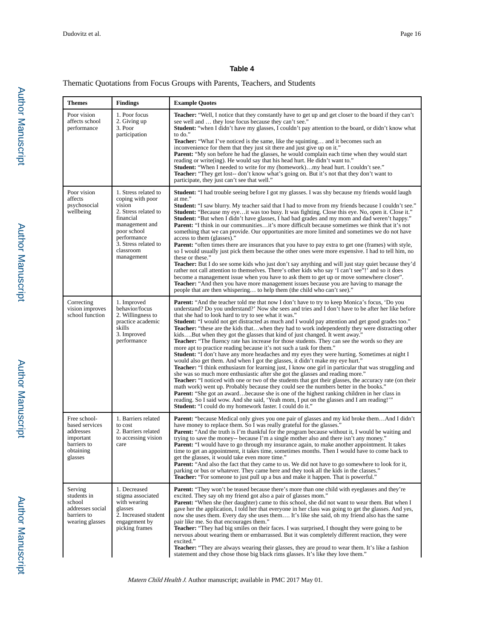### **Table 4**

### Thematic Quotations from Focus Groups with Parents, Teachers, and Students

| <b>Themes</b>                                                                                   | <b>Findings</b>                                                                                                                                                                            | <b>Example Quotes</b>                                                                                                                                                                                                                                                                                                                                                                                                                                                                                                                                                                                                                                                                                                                                                                                                                                                                                                                                                                                                                                                                                                                                                                                                                                                                                                                                                                                                                                                                                                                                                                                                           |
|-------------------------------------------------------------------------------------------------|--------------------------------------------------------------------------------------------------------------------------------------------------------------------------------------------|---------------------------------------------------------------------------------------------------------------------------------------------------------------------------------------------------------------------------------------------------------------------------------------------------------------------------------------------------------------------------------------------------------------------------------------------------------------------------------------------------------------------------------------------------------------------------------------------------------------------------------------------------------------------------------------------------------------------------------------------------------------------------------------------------------------------------------------------------------------------------------------------------------------------------------------------------------------------------------------------------------------------------------------------------------------------------------------------------------------------------------------------------------------------------------------------------------------------------------------------------------------------------------------------------------------------------------------------------------------------------------------------------------------------------------------------------------------------------------------------------------------------------------------------------------------------------------------------------------------------------------|
| Poor vision<br>affects school<br>performance                                                    | 1. Poor focus<br>2. Giving up<br>3. Poor<br>participation                                                                                                                                  | <b>Teacher:</b> "Well, I notice that they constantly have to get up and get closer to the board if they can't<br>see well and  they lose focus because they can't see."<br><b>Student:</b> "when I didn't have my glasses, I couldn't pay attention to the board, or didn't know what<br>to do."<br><b>Teacher:</b> "What I've noticed is the same, like the squinting and it becomes such an<br>inconvenience for them that they just sit there and just give up on it."<br><b>Parent:</b> "My son before he had the glasses, he would complain each time when they would start<br>reading or write (ing). He would say that his head hurt. He didn't want to."<br><b>Student:</b> "When I needed to write for my (homework)my head hurt. I couldn't see."<br><b>Teacher:</b> "They get lost-- don't know what's going on. But it's not that they don't want to<br>participate, they just can't see that well."                                                                                                                                                                                                                                                                                                                                                                                                                                                                                                                                                                                                                                                                                                                |
| Poor vision<br>affects<br>psychosocial<br>wellbeing                                             | 1. Stress related to<br>coping with poor<br>vision<br>2. Stress related to<br>financial<br>management and<br>poor school<br>performance<br>3. Stress related to<br>classroom<br>management | <b>Student:</b> "I had trouble seeing before I got my glasses. I was shy because my friends would laugh<br>at me."<br><b>Student:</b> "I saw blurry. My teacher said that I had to move from my friends because I couldn't see."<br><b>Student:</b> "Because my eyeit was too busy. It was fighting. Close this eye. No, open it. Close it."<br><b>Student:</b> "But when I didn't have glasses, I had bad grades and my mom and dad weren't happy."<br><b>Parent:</b> "I think in our communitiesit's more difficult because sometimes we think that it's not<br>something that we can provide. Our opportunities are more limited and sometimes we do not have<br>access to them (glasses)."<br>Parent: "often times there are insurances that you have to pay extra to get one (frames) with style,<br>so I would usually just pick them because the other ones were more expensive. I had to tell him, no<br>these or these."<br><b>Teacher:</b> But I do see some kids who just don't say anything and will just stay quiet because they'd<br>rather not call attention to themselves. There's other kids who say 'I can't see"!' and so it does<br>become a management issue when you have to ask them to get up or move somewhere closer".<br><b>Teacher:</b> "And then you have more management issues because you are having to manage the<br>people that are then whispering to help them (the child who can't see)."                                                                                                                                                                                                 |
| Correcting<br>vision improves<br>school function                                                | 1. Improved<br>behavior/focus<br>2. Willingness to<br>practice academic<br>skills<br>3. Improved<br>performance                                                                            | <b>Parent:</b> "And the teacher told me that now I don't have to try to keep Monica's focus, 'Do you<br>understand? Do you understand?' Now she sees and tries and I don't have to be after her like before<br>that she had to look hard to try to see what it was."<br><b>Student:</b> "I would not get distracted as much and I would pay attention and get good grades too."<br>Teacher: "these are the kids thatwhen they had to work independently they were distracting other<br>kidsBut when they got the glasses that kind of just changed. It went away."<br><b>Teacher:</b> "The fluency rate has increase for those students. They can see the words so they are<br>more apt to practice reading because it's not such a task for them."<br><b>Student:</b> "I don't have any more headaches and my eyes they were hurting. Sometimes at night I<br>would also get them. And when I got the glasses, it didn't make my eye hurt."<br><b>Teacher:</b> "I think enthusiasm for learning just, I know one girl in particular that was struggling and<br>she was so much more enthusiastic after she got the glasses and reading more."<br><b>Teacher:</b> "I noticed with one or two of the students that got their glasses, the accuracy rate (on their<br>math work) went up. Probably because they could see the numbers better in the books."<br><b>Parent:</b> "She got an awardbecause she is one of the highest ranking children in her class in<br>reading. So I said wow. And she said, 'Yeah mom, I put on the glasses and I am reading!'"<br><b>Student:</b> "I could do my homework faster. I could do it." |
| Free school-<br>based services<br>addresses<br>important<br>barriers to<br>obtaining<br>glasses | 1. Barriers related<br>to cost<br>2. Barriers related<br>to accessing vision<br>care                                                                                                       | <b>Parent:</b> "because Medical only gives you one pair of glasses and my kid broke themAnd I didn't<br>have money to replace them. So I was really grateful for the glasses."<br><b>Parent:</b> "And the truth is I'm thankful for the program because without it, I would be waiting and<br>trying to save the money-- because I'm a single mother also and there isn't any money."<br><b>Parent:</b> "I would have to go through my insurance again, to make another appointment. It takes<br>time to get an appointment, it takes time, sometimes months. Then I would have to come back to<br>get the glasses, it would take even more time."<br><b>Parent:</b> "And also the fact that they came to us. We did not have to go somewhere to look for it,<br>parking or bus or whatever. They came here and they took all the kids in the classes."<br><b>Teacher:</b> "For someone to just pull up a bus and make it happen. That is powerful."                                                                                                                                                                                                                                                                                                                                                                                                                                                                                                                                                                                                                                                                            |
| Serving<br>students in<br>school<br>addresses social<br>barriers to<br>wearing glasses          | 1. Decreased<br>stigma associated<br>with wearing<br>glasses<br>2. Increased student<br>engagement by<br>picking frames                                                                    | <b>Parent:</b> "They won't be teased because there's more than one child with eyeglasses and they're<br>excited. They say oh my friend got also a pair of glasses mom."<br><b>Parent:</b> "When she (her daughter) came to this school, she did not want to wear them. But when I<br>gave her the application, I told her that everyone in her class was going to get the glasses. And yes,<br>now she uses them. Every day she uses them It's like she said, oh my friend also has the same<br>pair like me. So that encourages them."<br><b>Teacher:</b> "They had big smiles on their faces. I was surprised, I thought they were going to be<br>nervous about wearing them or embarrassed. But it was completely different reaction, they were<br>excited."<br><b>Teacher:</b> "They are always wearing their glasses, they are proud to wear them. It's like a fashion<br>statement and they chose those big black rims glasses. It's like they love them."                                                                                                                                                                                                                                                                                                                                                                                                                                                                                                                                                                                                                                                                |